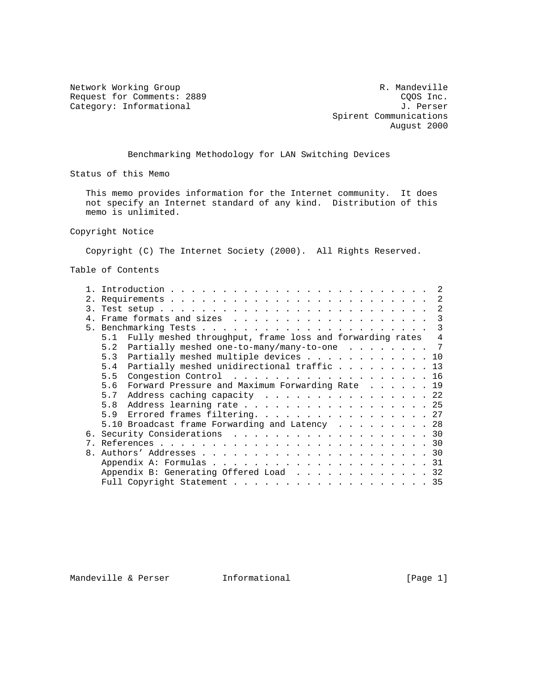Request for Comments: 2889 COOS Inc.<br>
Category: Informational Gategory: Informational Category: Informational

Network Working Group and the control of the Mandeville R. Mandeville Spirent Communications August 2000

Benchmarking Methodology for LAN Switching Devices

Status of this Memo

 This memo provides information for the Internet community. It does not specify an Internet standard of any kind. Distribution of this memo is unlimited.

Copyright Notice

Copyright (C) The Internet Society (2000). All Rights Reserved.

Table of Contents

|               | $\overline{2}$                                                                              |
|---------------|---------------------------------------------------------------------------------------------|
|               | -2                                                                                          |
| $\mathcal{R}$ |                                                                                             |
|               |                                                                                             |
|               | $\mathcal{E}$                                                                               |
|               | Fully meshed throughput, frame loss and forwarding rates<br>5.1<br>4                        |
|               | Partially meshed one-to-many/many-to-one $\cdot \cdot \cdot \cdot \cdot \cdot \cdot$<br>5.2 |
|               | 5.3 Partially meshed multiple devices 10                                                    |
|               | Partially meshed unidirectional traffic 13<br>5.4                                           |
|               | Congestion Control 16<br>5.5                                                                |
|               | Forward Pressure and Maximum Forwarding Rate 19<br>5.6                                      |
|               | Address caching capacity 22<br>5.7                                                          |
|               | Address learning rate 25<br>5.8                                                             |
|               | Errored frames filtering. 27<br>5.9                                                         |
|               | 5.10 Broadcast frame Forwarding and Latency 28                                              |
|               | 6. Security Considerations 30                                                               |
|               |                                                                                             |
|               |                                                                                             |
|               |                                                                                             |
|               | Appendix B: Generating Offered Load 32                                                      |
|               | Full Copyright Statement 35                                                                 |

Mandeville & Perser **Informational Informational** [Page 1]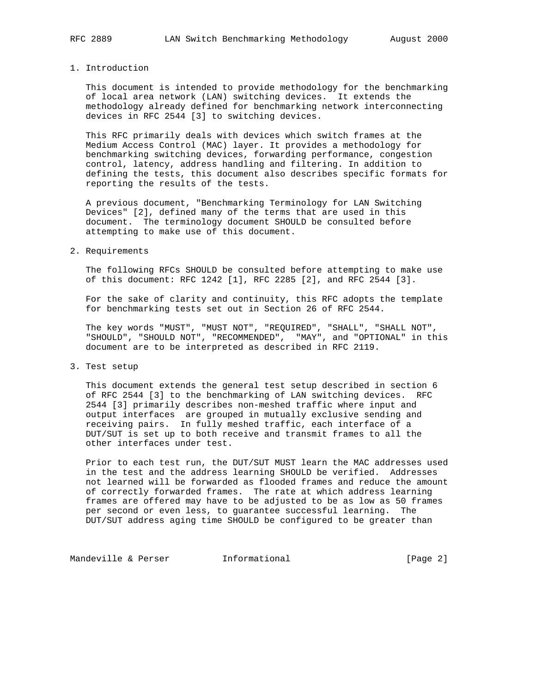#### 1. Introduction

 This document is intended to provide methodology for the benchmarking of local area network (LAN) switching devices. It extends the methodology already defined for benchmarking network interconnecting devices in RFC 2544 [3] to switching devices.

 This RFC primarily deals with devices which switch frames at the Medium Access Control (MAC) layer. It provides a methodology for benchmarking switching devices, forwarding performance, congestion control, latency, address handling and filtering. In addition to defining the tests, this document also describes specific formats for reporting the results of the tests.

 A previous document, "Benchmarking Terminology for LAN Switching Devices" [2], defined many of the terms that are used in this document. The terminology document SHOULD be consulted before attempting to make use of this document.

#### 2. Requirements

 The following RFCs SHOULD be consulted before attempting to make use of this document: RFC 1242 [1], RFC 2285 [2], and RFC 2544 [3].

 For the sake of clarity and continuity, this RFC adopts the template for benchmarking tests set out in Section 26 of RFC 2544.

 The key words "MUST", "MUST NOT", "REQUIRED", "SHALL", "SHALL NOT", "SHOULD", "SHOULD NOT", "RECOMMENDED", "MAY", and "OPTIONAL" in this document are to be interpreted as described in RFC 2119.

3. Test setup

 This document extends the general test setup described in section 6 of RFC 2544 [3] to the benchmarking of LAN switching devices. RFC 2544 [3] primarily describes non-meshed traffic where input and output interfaces are grouped in mutually exclusive sending and receiving pairs. In fully meshed traffic, each interface of a DUT/SUT is set up to both receive and transmit frames to all the other interfaces under test.

 Prior to each test run, the DUT/SUT MUST learn the MAC addresses used in the test and the address learning SHOULD be verified. Addresses not learned will be forwarded as flooded frames and reduce the amount of correctly forwarded frames. The rate at which address learning frames are offered may have to be adjusted to be as low as 50 frames per second or even less, to guarantee successful learning. The DUT/SUT address aging time SHOULD be configured to be greater than

Mandeville & Perser [Page 2]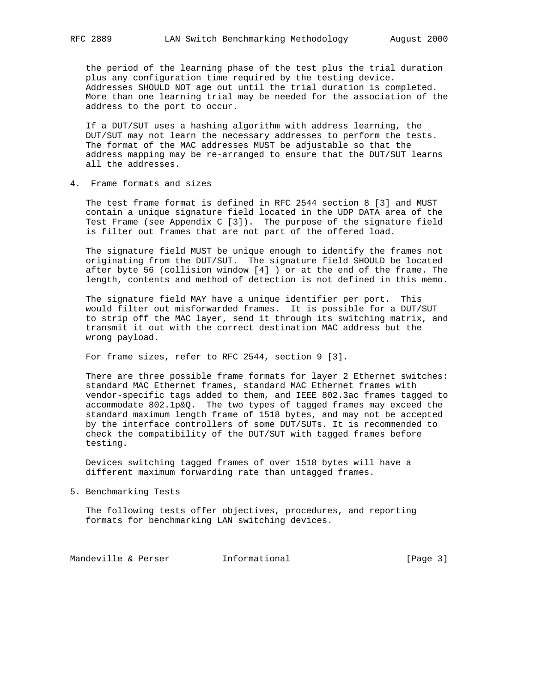the period of the learning phase of the test plus the trial duration plus any configuration time required by the testing device. Addresses SHOULD NOT age out until the trial duration is completed. More than one learning trial may be needed for the association of the address to the port to occur.

 If a DUT/SUT uses a hashing algorithm with address learning, the DUT/SUT may not learn the necessary addresses to perform the tests. The format of the MAC addresses MUST be adjustable so that the address mapping may be re-arranged to ensure that the DUT/SUT learns all the addresses.

4. Frame formats and sizes

 The test frame format is defined in RFC 2544 section 8 [3] and MUST contain a unique signature field located in the UDP DATA area of the Test Frame (see Appendix C [3]). The purpose of the signature field is filter out frames that are not part of the offered load.

 The signature field MUST be unique enough to identify the frames not originating from the DUT/SUT. The signature field SHOULD be located after byte 56 (collision window [4] ) or at the end of the frame. The length, contents and method of detection is not defined in this memo.

 The signature field MAY have a unique identifier per port. This would filter out misforwarded frames. It is possible for a DUT/SUT to strip off the MAC layer, send it through its switching matrix, and transmit it out with the correct destination MAC address but the wrong payload.

For frame sizes, refer to RFC 2544, section 9 [3].

 There are three possible frame formats for layer 2 Ethernet switches: standard MAC Ethernet frames, standard MAC Ethernet frames with vendor-specific tags added to them, and IEEE 802.3ac frames tagged to accommodate 802.1p&Q. The two types of tagged frames may exceed the standard maximum length frame of 1518 bytes, and may not be accepted by the interface controllers of some DUT/SUTs. It is recommended to check the compatibility of the DUT/SUT with tagged frames before testing.

 Devices switching tagged frames of over 1518 bytes will have a different maximum forwarding rate than untagged frames.

5. Benchmarking Tests

 The following tests offer objectives, procedures, and reporting formats for benchmarking LAN switching devices.

Mandeville & Perser [Page 3]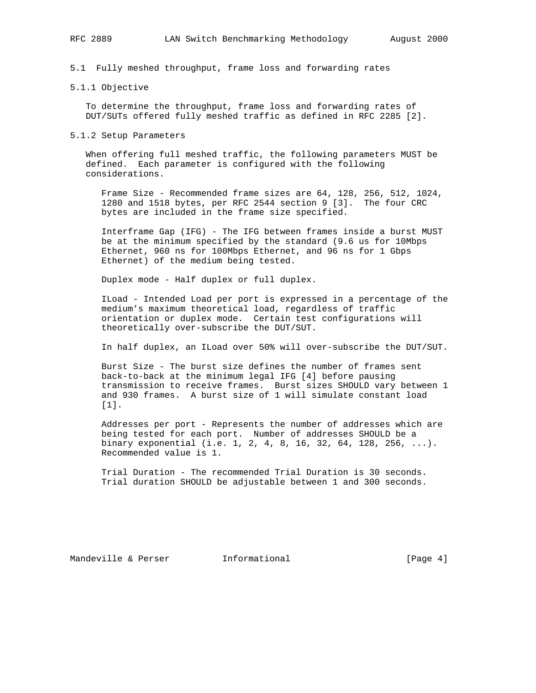5.1 Fully meshed throughput, frame loss and forwarding rates

### 5.1.1 Objective

 To determine the throughput, frame loss and forwarding rates of DUT/SUTs offered fully meshed traffic as defined in RFC 2285 [2].

#### 5.1.2 Setup Parameters

 When offering full meshed traffic, the following parameters MUST be defined. Each parameter is configured with the following considerations.

 Frame Size - Recommended frame sizes are 64, 128, 256, 512, 1024, 1280 and 1518 bytes, per RFC 2544 section 9 [3]. The four CRC bytes are included in the frame size specified.

 Interframe Gap (IFG) - The IFG between frames inside a burst MUST be at the minimum specified by the standard (9.6 us for 10Mbps Ethernet, 960 ns for 100Mbps Ethernet, and 96 ns for 1 Gbps Ethernet) of the medium being tested.

Duplex mode - Half duplex or full duplex.

 ILoad - Intended Load per port is expressed in a percentage of the medium's maximum theoretical load, regardless of traffic orientation or duplex mode. Certain test configurations will theoretically over-subscribe the DUT/SUT.

In half duplex, an ILoad over 50% will over-subscribe the DUT/SUT.

 Burst Size - The burst size defines the number of frames sent back-to-back at the minimum legal IFG [4] before pausing transmission to receive frames. Burst sizes SHOULD vary between 1 and 930 frames. A burst size of 1 will simulate constant load [1].

 Addresses per port - Represents the number of addresses which are being tested for each port. Number of addresses SHOULD be a binary exponential (i.e. 1, 2, 4, 8, 16, 32, 64, 128, 256, ...). Recommended value is 1.

 Trial Duration - The recommended Trial Duration is 30 seconds. Trial duration SHOULD be adjustable between 1 and 300 seconds.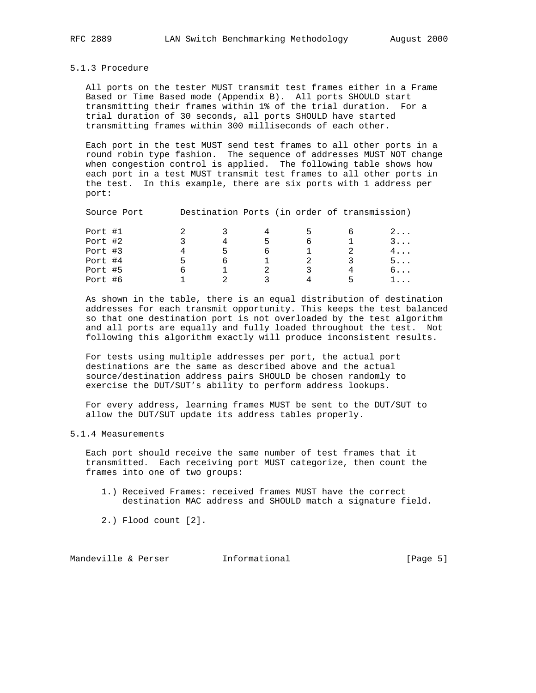### 5.1.3 Procedure

 All ports on the tester MUST transmit test frames either in a Frame Based or Time Based mode (Appendix B). All ports SHOULD start transmitting their frames within 1% of the trial duration. For a trial duration of 30 seconds, all ports SHOULD have started transmitting frames within 300 milliseconds of each other.

 Each port in the test MUST send test frames to all other ports in a round robin type fashion. The sequence of addresses MUST NOT change when congestion control is applied. The following table shows how each port in a test MUST transmit test frames to all other ports in the test. In this example, there are six ports with 1 address per port:

| Port #1 |   |   |   | כ |   | $2 \ldots$ |
|---------|---|---|---|---|---|------------|
| Port #2 |   |   | ∽ | 6 |   | $3 \ldots$ |
| Port #3 |   | ∽ | ь |   |   | $4 \ldots$ |
| Port #4 | ∽ |   |   |   |   | $5 \ldots$ |
| Port #5 |   |   |   | 2 |   | 6.         |
| Port #6 |   |   |   |   | ь | L.         |

Source Port Destination Ports (in order of transmission)

 As shown in the table, there is an equal distribution of destination addresses for each transmit opportunity. This keeps the test balanced so that one destination port is not overloaded by the test algorithm and all ports are equally and fully loaded throughout the test. Not following this algorithm exactly will produce inconsistent results.

 For tests using multiple addresses per port, the actual port destinations are the same as described above and the actual source/destination address pairs SHOULD be chosen randomly to exercise the DUT/SUT's ability to perform address lookups.

 For every address, learning frames MUST be sent to the DUT/SUT to allow the DUT/SUT update its address tables properly.

### 5.1.4 Measurements

 Each port should receive the same number of test frames that it transmitted. Each receiving port MUST categorize, then count the frames into one of two groups:

- 1.) Received Frames: received frames MUST have the correct destination MAC address and SHOULD match a signature field.
- 2.) Flood count [2].

Mandeville & Perser **Informational Informational** [Page 5]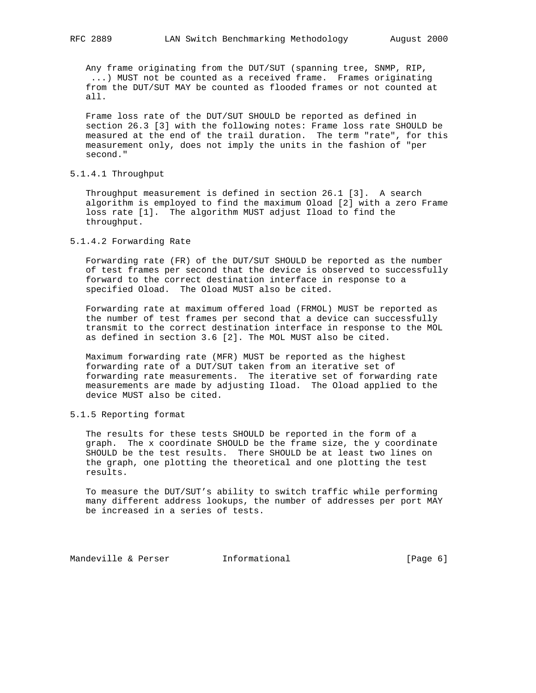Any frame originating from the DUT/SUT (spanning tree, SNMP, RIP, ...) MUST not be counted as a received frame. Frames originating from the DUT/SUT MAY be counted as flooded frames or not counted at all.

 Frame loss rate of the DUT/SUT SHOULD be reported as defined in section 26.3 [3] with the following notes: Frame loss rate SHOULD be measured at the end of the trail duration. The term "rate", for this measurement only, does not imply the units in the fashion of "per second."

# 5.1.4.1 Throughput

 Throughput measurement is defined in section 26.1 [3]. A search algorithm is employed to find the maximum Oload [2] with a zero Frame loss rate [1]. The algorithm MUST adjust Iload to find the throughput.

## 5.1.4.2 Forwarding Rate

 Forwarding rate (FR) of the DUT/SUT SHOULD be reported as the number of test frames per second that the device is observed to successfully forward to the correct destination interface in response to a specified Oload. The Oload MUST also be cited.

 Forwarding rate at maximum offered load (FRMOL) MUST be reported as the number of test frames per second that a device can successfully transmit to the correct destination interface in response to the MOL as defined in section 3.6 [2]. The MOL MUST also be cited.

 Maximum forwarding rate (MFR) MUST be reported as the highest forwarding rate of a DUT/SUT taken from an iterative set of forwarding rate measurements. The iterative set of forwarding rate measurements are made by adjusting Iload. The Oload applied to the device MUST also be cited.

## 5.1.5 Reporting format

 The results for these tests SHOULD be reported in the form of a graph. The x coordinate SHOULD be the frame size, the y coordinate SHOULD be the test results. There SHOULD be at least two lines on the graph, one plotting the theoretical and one plotting the test results.

 To measure the DUT/SUT's ability to switch traffic while performing many different address lookups, the number of addresses per port MAY be increased in a series of tests.

Mandeville & Perser [Page 6] Informational [Page 6]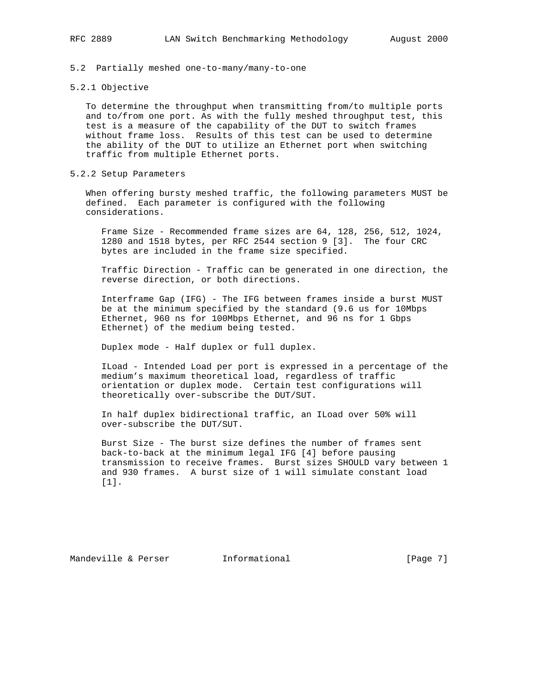5.2 Partially meshed one-to-many/many-to-one

### 5.2.1 Objective

 To determine the throughput when transmitting from/to multiple ports and to/from one port. As with the fully meshed throughput test, this test is a measure of the capability of the DUT to switch frames without frame loss. Results of this test can be used to determine the ability of the DUT to utilize an Ethernet port when switching traffic from multiple Ethernet ports.

## 5.2.2 Setup Parameters

 When offering bursty meshed traffic, the following parameters MUST be defined. Each parameter is configured with the following considerations.

 Frame Size - Recommended frame sizes are 64, 128, 256, 512, 1024, 1280 and 1518 bytes, per RFC 2544 section 9 [3]. The four CRC bytes are included in the frame size specified.

 Traffic Direction - Traffic can be generated in one direction, the reverse direction, or both directions.

 Interframe Gap (IFG) - The IFG between frames inside a burst MUST be at the minimum specified by the standard (9.6 us for 10Mbps Ethernet, 960 ns for 100Mbps Ethernet, and 96 ns for 1 Gbps Ethernet) of the medium being tested.

Duplex mode - Half duplex or full duplex.

 ILoad - Intended Load per port is expressed in a percentage of the medium's maximum theoretical load, regardless of traffic orientation or duplex mode. Certain test configurations will theoretically over-subscribe the DUT/SUT.

 In half duplex bidirectional traffic, an ILoad over 50% will over-subscribe the DUT/SUT.

 Burst Size - The burst size defines the number of frames sent back-to-back at the minimum legal IFG [4] before pausing transmission to receive frames. Burst sizes SHOULD vary between 1 and 930 frames. A burst size of 1 will simulate constant load [1].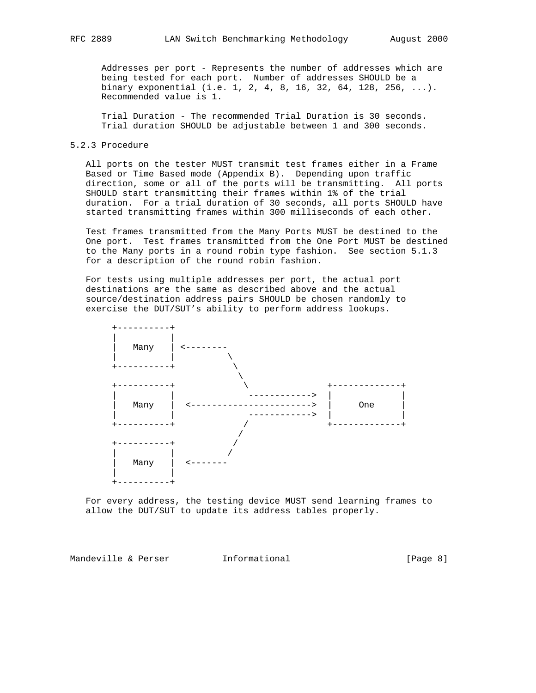Addresses per port - Represents the number of addresses which are being tested for each port. Number of addresses SHOULD be a binary exponential (i.e. 1, 2, 4, 8, 16, 32, 64, 128, 256, ...). Recommended value is 1.

 Trial Duration - The recommended Trial Duration is 30 seconds. Trial duration SHOULD be adjustable between 1 and 300 seconds.

## 5.2.3 Procedure

 All ports on the tester MUST transmit test frames either in a Frame Based or Time Based mode (Appendix B). Depending upon traffic direction, some or all of the ports will be transmitting. All ports SHOULD start transmitting their frames within 1% of the trial duration. For a trial duration of 30 seconds, all ports SHOULD have started transmitting frames within 300 milliseconds of each other.

 Test frames transmitted from the Many Ports MUST be destined to the One port. Test frames transmitted from the One Port MUST be destined to the Many ports in a round robin type fashion. See section 5.1.3 for a description of the round robin fashion.

 For tests using multiple addresses per port, the actual port destinations are the same as described above and the actual source/destination address pairs SHOULD be chosen randomly to exercise the DUT/SUT's ability to perform address lookups.



 For every address, the testing device MUST send learning frames to allow the DUT/SUT to update its address tables properly.

Mandeville & Perser **Informational Mandeville & Perser Informational I**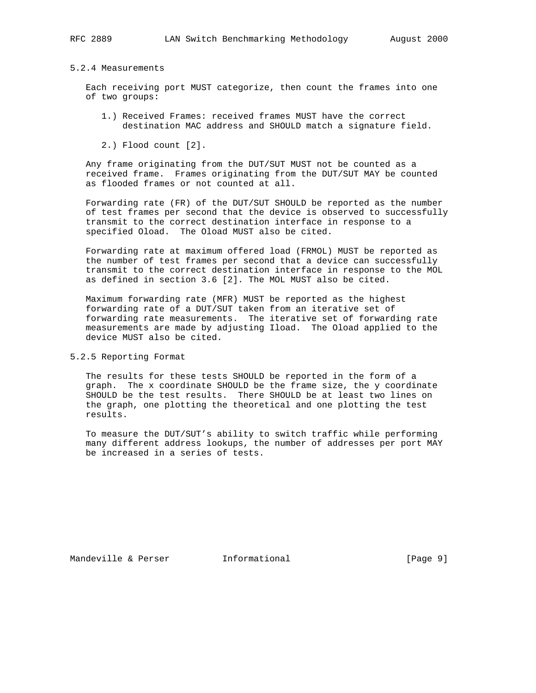### 5.2.4 Measurements

 Each receiving port MUST categorize, then count the frames into one of two groups:

- 1.) Received Frames: received frames MUST have the correct destination MAC address and SHOULD match a signature field.
- 2.) Flood count [2].

 Any frame originating from the DUT/SUT MUST not be counted as a received frame. Frames originating from the DUT/SUT MAY be counted as flooded frames or not counted at all.

 Forwarding rate (FR) of the DUT/SUT SHOULD be reported as the number of test frames per second that the device is observed to successfully transmit to the correct destination interface in response to a specified Oload. The Oload MUST also be cited.

 Forwarding rate at maximum offered load (FRMOL) MUST be reported as the number of test frames per second that a device can successfully transmit to the correct destination interface in response to the MOL as defined in section 3.6 [2]. The MOL MUST also be cited.

 Maximum forwarding rate (MFR) MUST be reported as the highest forwarding rate of a DUT/SUT taken from an iterative set of forwarding rate measurements. The iterative set of forwarding rate measurements are made by adjusting Iload. The Oload applied to the device MUST also be cited.

5.2.5 Reporting Format

 The results for these tests SHOULD be reported in the form of a graph. The x coordinate SHOULD be the frame size, the y coordinate SHOULD be the test results. There SHOULD be at least two lines on the graph, one plotting the theoretical and one plotting the test results.

 To measure the DUT/SUT's ability to switch traffic while performing many different address lookups, the number of addresses per port MAY be increased in a series of tests.

Mandeville & Perser **Informational Informational** [Page 9]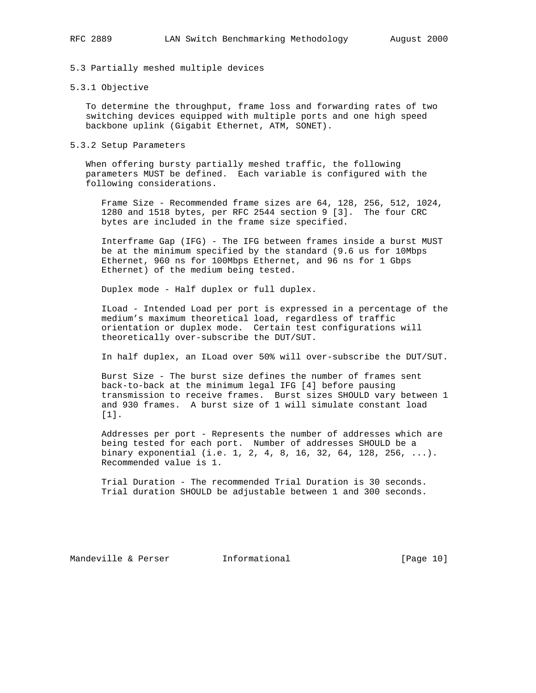5.3 Partially meshed multiple devices

### 5.3.1 Objective

 To determine the throughput, frame loss and forwarding rates of two switching devices equipped with multiple ports and one high speed backbone uplink (Gigabit Ethernet, ATM, SONET).

#### 5.3.2 Setup Parameters

 When offering bursty partially meshed traffic, the following parameters MUST be defined. Each variable is configured with the following considerations.

 Frame Size - Recommended frame sizes are 64, 128, 256, 512, 1024, 1280 and 1518 bytes, per RFC 2544 section 9 [3]. The four CRC bytes are included in the frame size specified.

 Interframe Gap (IFG) - The IFG between frames inside a burst MUST be at the minimum specified by the standard (9.6 us for 10Mbps Ethernet, 960 ns for 100Mbps Ethernet, and 96 ns for 1 Gbps Ethernet) of the medium being tested.

Duplex mode - Half duplex or full duplex.

 ILoad - Intended Load per port is expressed in a percentage of the medium's maximum theoretical load, regardless of traffic orientation or duplex mode. Certain test configurations will theoretically over-subscribe the DUT/SUT.

In half duplex, an ILoad over 50% will over-subscribe the DUT/SUT.

 Burst Size - The burst size defines the number of frames sent back-to-back at the minimum legal IFG [4] before pausing transmission to receive frames. Burst sizes SHOULD vary between 1 and 930 frames. A burst size of 1 will simulate constant load [1].

 Addresses per port - Represents the number of addresses which are being tested for each port. Number of addresses SHOULD be a binary exponential (i.e. 1, 2, 4, 8, 16, 32, 64, 128, 256, ...). Recommended value is 1.

 Trial Duration - The recommended Trial Duration is 30 seconds. Trial duration SHOULD be adjustable between 1 and 300 seconds.

Mandeville & Perser **Informational** [Page 10]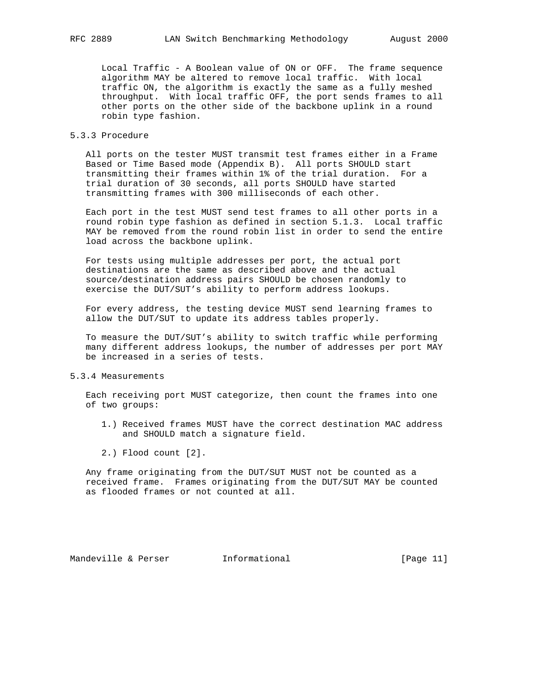Local Traffic - A Boolean value of ON or OFF. The frame sequence algorithm MAY be altered to remove local traffic. With local traffic ON, the algorithm is exactly the same as a fully meshed throughput. With local traffic OFF, the port sends frames to all other ports on the other side of the backbone uplink in a round robin type fashion.

## 5.3.3 Procedure

 All ports on the tester MUST transmit test frames either in a Frame Based or Time Based mode (Appendix B). All ports SHOULD start transmitting their frames within 1% of the trial duration. For a trial duration of 30 seconds, all ports SHOULD have started transmitting frames with 300 milliseconds of each other.

 Each port in the test MUST send test frames to all other ports in a round robin type fashion as defined in section 5.1.3. Local traffic MAY be removed from the round robin list in order to send the entire load across the backbone uplink.

 For tests using multiple addresses per port, the actual port destinations are the same as described above and the actual source/destination address pairs SHOULD be chosen randomly to exercise the DUT/SUT's ability to perform address lookups.

 For every address, the testing device MUST send learning frames to allow the DUT/SUT to update its address tables properly.

 To measure the DUT/SUT's ability to switch traffic while performing many different address lookups, the number of addresses per port MAY be increased in a series of tests.

#### 5.3.4 Measurements

 Each receiving port MUST categorize, then count the frames into one of two groups:

- 1.) Received frames MUST have the correct destination MAC address and SHOULD match a signature field.
- 2.) Flood count [2].

 Any frame originating from the DUT/SUT MUST not be counted as a received frame. Frames originating from the DUT/SUT MAY be counted as flooded frames or not counted at all.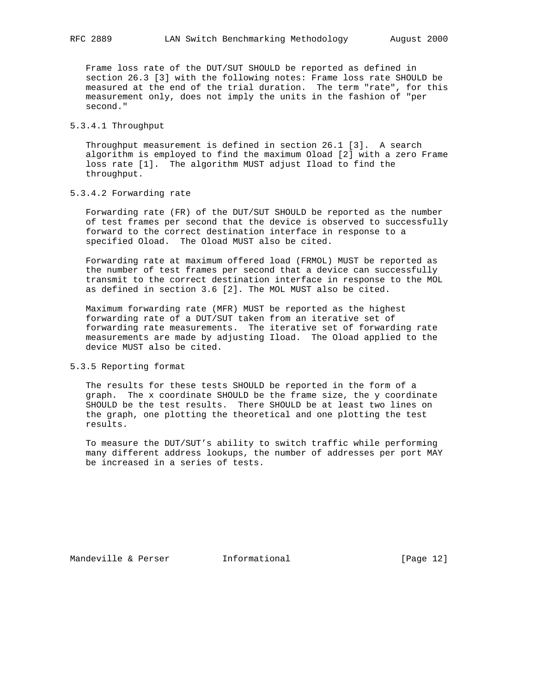Frame loss rate of the DUT/SUT SHOULD be reported as defined in section 26.3 [3] with the following notes: Frame loss rate SHOULD be measured at the end of the trial duration. The term "rate", for this measurement only, does not imply the units in the fashion of "per second."

## 5.3.4.1 Throughput

 Throughput measurement is defined in section 26.1 [3]. A search algorithm is employed to find the maximum Oload [2] with a zero Frame loss rate [1]. The algorithm MUST adjust Iload to find the throughput.

### 5.3.4.2 Forwarding rate

 Forwarding rate (FR) of the DUT/SUT SHOULD be reported as the number of test frames per second that the device is observed to successfully forward to the correct destination interface in response to a specified Oload. The Oload MUST also be cited.

 Forwarding rate at maximum offered load (FRMOL) MUST be reported as the number of test frames per second that a device can successfully transmit to the correct destination interface in response to the MOL as defined in section 3.6 [2]. The MOL MUST also be cited.

 Maximum forwarding rate (MFR) MUST be reported as the highest forwarding rate of a DUT/SUT taken from an iterative set of forwarding rate measurements. The iterative set of forwarding rate measurements are made by adjusting Iload. The Oload applied to the device MUST also be cited.

### 5.3.5 Reporting format

 The results for these tests SHOULD be reported in the form of a graph. The x coordinate SHOULD be the frame size, the y coordinate SHOULD be the test results. There SHOULD be at least two lines on the graph, one plotting the theoretical and one plotting the test results.

 To measure the DUT/SUT's ability to switch traffic while performing many different address lookups, the number of addresses per port MAY be increased in a series of tests.

Mandeville & Perser **Informational** [Page 12]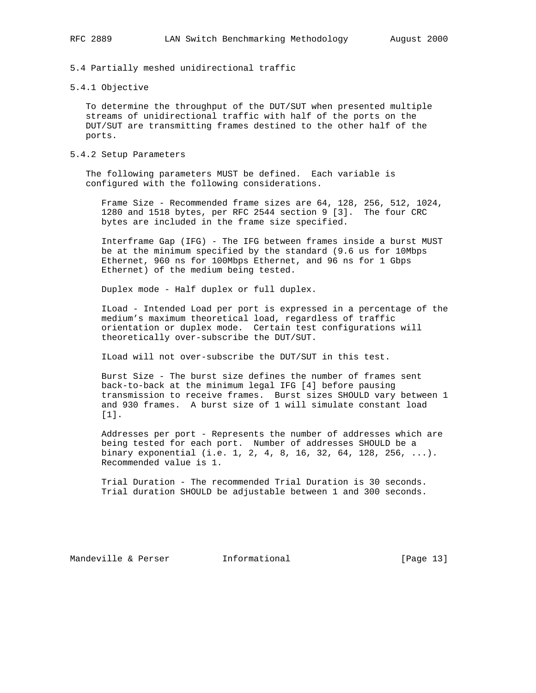5.4 Partially meshed unidirectional traffic

5.4.1 Objective

 To determine the throughput of the DUT/SUT when presented multiple streams of unidirectional traffic with half of the ports on the DUT/SUT are transmitting frames destined to the other half of the ports.

5.4.2 Setup Parameters

 The following parameters MUST be defined. Each variable is configured with the following considerations.

 Frame Size - Recommended frame sizes are 64, 128, 256, 512, 1024, 1280 and 1518 bytes, per RFC 2544 section 9 [3]. The four CRC bytes are included in the frame size specified.

 Interframe Gap (IFG) - The IFG between frames inside a burst MUST be at the minimum specified by the standard (9.6 us for 10Mbps Ethernet, 960 ns for 100Mbps Ethernet, and 96 ns for 1 Gbps Ethernet) of the medium being tested.

Duplex mode - Half duplex or full duplex.

 ILoad - Intended Load per port is expressed in a percentage of the medium's maximum theoretical load, regardless of traffic orientation or duplex mode. Certain test configurations will theoretically over-subscribe the DUT/SUT.

ILoad will not over-subscribe the DUT/SUT in this test.

 Burst Size - The burst size defines the number of frames sent back-to-back at the minimum legal IFG [4] before pausing transmission to receive frames. Burst sizes SHOULD vary between 1 and 930 frames. A burst size of 1 will simulate constant load [1].

 Addresses per port - Represents the number of addresses which are being tested for each port. Number of addresses SHOULD be a binary exponential (i.e. 1, 2, 4, 8, 16, 32, 64, 128, 256, ...). Recommended value is 1.

 Trial Duration - The recommended Trial Duration is 30 seconds. Trial duration SHOULD be adjustable between 1 and 300 seconds.

Mandeville & Perser [Page 13]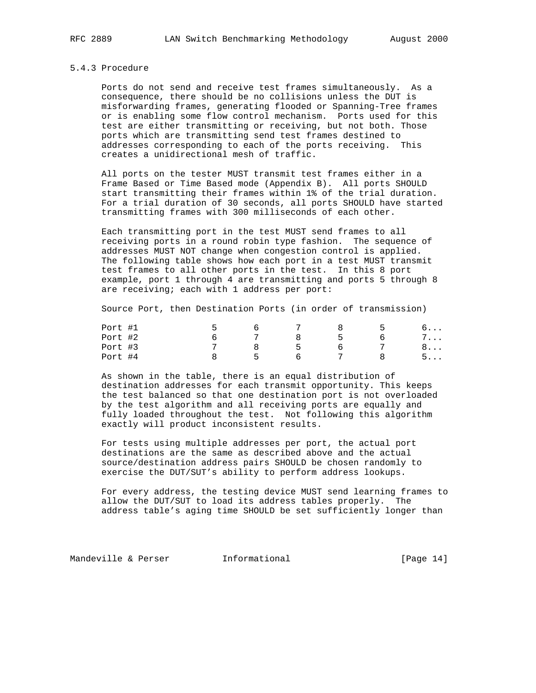#### 5.4.3 Procedure

 Ports do not send and receive test frames simultaneously. As a consequence, there should be no collisions unless the DUT is misforwarding frames, generating flooded or Spanning-Tree frames or is enabling some flow control mechanism. Ports used for this test are either transmitting or receiving, but not both. Those ports which are transmitting send test frames destined to addresses corresponding to each of the ports receiving. This creates a unidirectional mesh of traffic.

 All ports on the tester MUST transmit test frames either in a Frame Based or Time Based mode (Appendix B). All ports SHOULD start transmitting their frames within 1% of the trial duration. For a trial duration of 30 seconds, all ports SHOULD have started transmitting frames with 300 milliseconds of each other.

 Each transmitting port in the test MUST send frames to all receiving ports in a round robin type fashion. The sequence of addresses MUST NOT change when congestion control is applied. The following table shows how each port in a test MUST transmit test frames to all other ports in the test. In this 8 port example, port 1 through 4 are transmitting and ports 5 through 8 are receiving; each with 1 address per port:

Source Port, then Destination Ports (in order of transmission)

| Port #1 |              |    |   | .          |
|---------|--------------|----|---|------------|
| Port #2 |              | 8  |   | $7 \ldots$ |
| Port #3 |              | -5 | b | 8          |
| Port #4 | $\mathsf{h}$ |    |   | $5.$       |

 As shown in the table, there is an equal distribution of destination addresses for each transmit opportunity. This keeps the test balanced so that one destination port is not overloaded by the test algorithm and all receiving ports are equally and fully loaded throughout the test. Not following this algorithm exactly will product inconsistent results.

 For tests using multiple addresses per port, the actual port destinations are the same as described above and the actual source/destination address pairs SHOULD be chosen randomly to exercise the DUT/SUT's ability to perform address lookups.

 For every address, the testing device MUST send learning frames to allow the DUT/SUT to load its address tables properly. The address table's aging time SHOULD be set sufficiently longer than

Mandeville & Perser **Informational** [Page 14]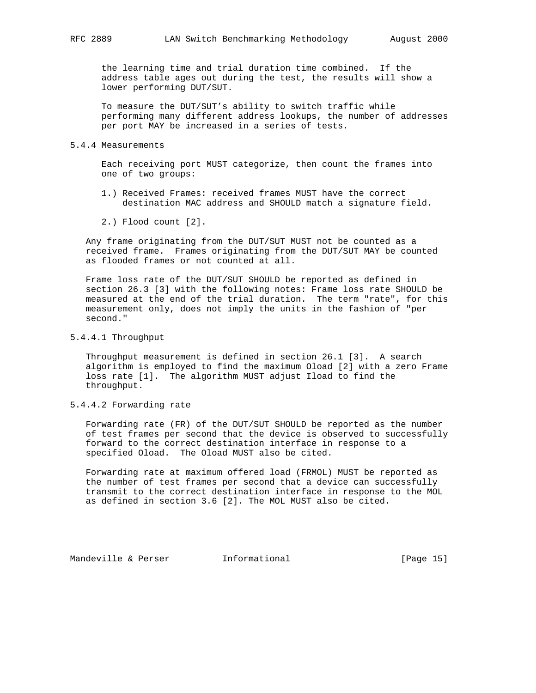the learning time and trial duration time combined. If the address table ages out during the test, the results will show a lower performing DUT/SUT.

 To measure the DUT/SUT's ability to switch traffic while performing many different address lookups, the number of addresses per port MAY be increased in a series of tests.

#### 5.4.4 Measurements

 Each receiving port MUST categorize, then count the frames into one of two groups:

- 1.) Received Frames: received frames MUST have the correct destination MAC address and SHOULD match a signature field.
- 2.) Flood count [2].

 Any frame originating from the DUT/SUT MUST not be counted as a received frame. Frames originating from the DUT/SUT MAY be counted as flooded frames or not counted at all.

 Frame loss rate of the DUT/SUT SHOULD be reported as defined in section 26.3 [3] with the following notes: Frame loss rate SHOULD be measured at the end of the trial duration. The term "rate", for this measurement only, does not imply the units in the fashion of "per second."

## 5.4.4.1 Throughput

 Throughput measurement is defined in section 26.1 [3]. A search algorithm is employed to find the maximum Oload [2] with a zero Frame loss rate [1]. The algorithm MUST adjust Iload to find the throughput.

## 5.4.4.2 Forwarding rate

 Forwarding rate (FR) of the DUT/SUT SHOULD be reported as the number of test frames per second that the device is observed to successfully forward to the correct destination interface in response to a specified Oload. The Oload MUST also be cited.

 Forwarding rate at maximum offered load (FRMOL) MUST be reported as the number of test frames per second that a device can successfully transmit to the correct destination interface in response to the MOL as defined in section 3.6 [2]. The MOL MUST also be cited.

Mandeville & Perser **Informational** [Page 15]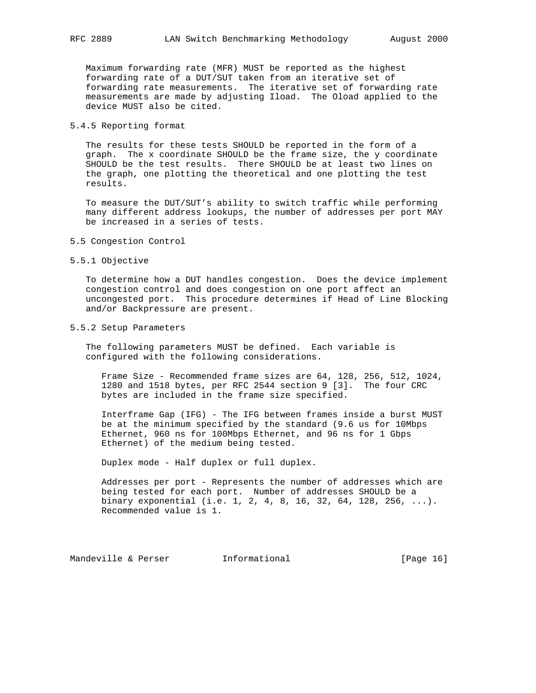Maximum forwarding rate (MFR) MUST be reported as the highest forwarding rate of a DUT/SUT taken from an iterative set of forwarding rate measurements. The iterative set of forwarding rate measurements are made by adjusting Iload. The Oload applied to the device MUST also be cited.

## 5.4.5 Reporting format

 The results for these tests SHOULD be reported in the form of a graph. The x coordinate SHOULD be the frame size, the y coordinate SHOULD be the test results. There SHOULD be at least two lines on the graph, one plotting the theoretical and one plotting the test results.

 To measure the DUT/SUT's ability to switch traffic while performing many different address lookups, the number of addresses per port MAY be increased in a series of tests.

- 5.5 Congestion Control
- 5.5.1 Objective

 To determine how a DUT handles congestion. Does the device implement congestion control and does congestion on one port affect an uncongested port. This procedure determines if Head of Line Blocking and/or Backpressure are present.

### 5.5.2 Setup Parameters

 The following parameters MUST be defined. Each variable is configured with the following considerations.

 Frame Size - Recommended frame sizes are 64, 128, 256, 512, 1024, 1280 and 1518 bytes, per RFC 2544 section 9 [3]. The four CRC bytes are included in the frame size specified.

 Interframe Gap (IFG) - The IFG between frames inside a burst MUST be at the minimum specified by the standard (9.6 us for 10Mbps Ethernet, 960 ns for 100Mbps Ethernet, and 96 ns for 1 Gbps Ethernet) of the medium being tested.

Duplex mode - Half duplex or full duplex.

 Addresses per port - Represents the number of addresses which are being tested for each port. Number of addresses SHOULD be a binary exponential (i.e. 1, 2, 4, 8, 16, 32, 64, 128, 256, ...). Recommended value is 1.

Mandeville & Perser [Informational [Page 16]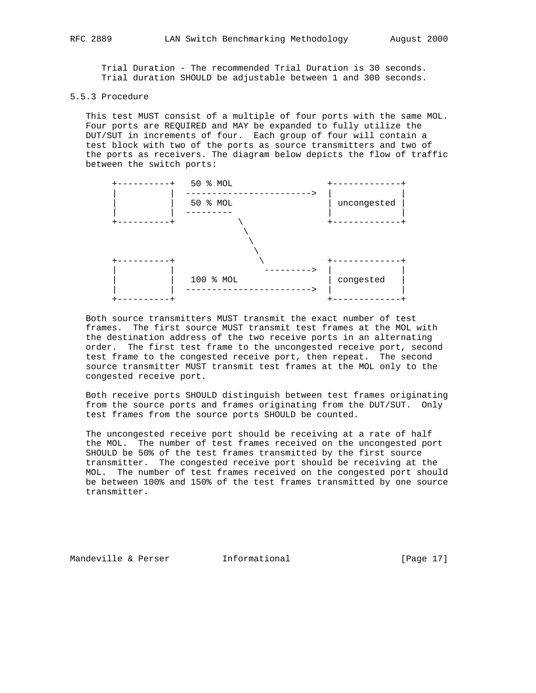Trial Duration - The recommended Trial Duration is 30 seconds. Trial duration SHOULD be adjustable between 1 and 300 seconds.

## 5.5.3 Procedure

 This test MUST consist of a multiple of four ports with the same MOL. Four ports are REQUIRED and MAY be expanded to fully utilize the DUT/SUT in increments of four. Each group of four will contain a test block with two of the ports as source transmitters and two of the ports as receivers. The diagram below depicts the flow of traffic between the switch ports:



 Both source transmitters MUST transmit the exact number of test frames. The first source MUST transmit test frames at the MOL with the destination address of the two receive ports in an alternating order. The first test frame to the uncongested receive port, second test frame to the congested receive port, then repeat. The second source transmitter MUST transmit test frames at the MOL only to the congested receive port.

 Both receive ports SHOULD distinguish between test frames originating from the source ports and frames originating from the DUT/SUT. Only test frames from the source ports SHOULD be counted.

 The uncongested receive port should be receiving at a rate of half the MOL. The number of test frames received on the uncongested port SHOULD be 50% of the test frames transmitted by the first source transmitter. The congested receive port should be receiving at the MOL. The number of test frames received on the congested port should be between 100% and 150% of the test frames transmitted by one source transmitter.

Mandeville & Perser **Informational** [Page 17]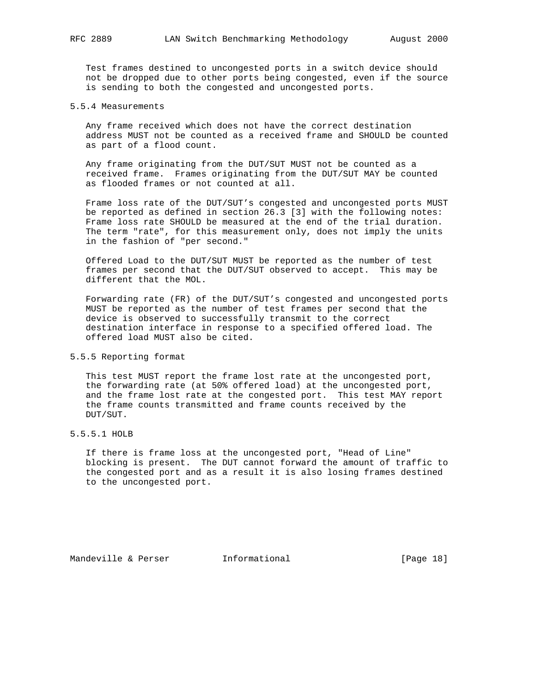Test frames destined to uncongested ports in a switch device should not be dropped due to other ports being congested, even if the source is sending to both the congested and uncongested ports.

### 5.5.4 Measurements

 Any frame received which does not have the correct destination address MUST not be counted as a received frame and SHOULD be counted as part of a flood count.

 Any frame originating from the DUT/SUT MUST not be counted as a received frame. Frames originating from the DUT/SUT MAY be counted as flooded frames or not counted at all.

 Frame loss rate of the DUT/SUT's congested and uncongested ports MUST be reported as defined in section 26.3 [3] with the following notes: Frame loss rate SHOULD be measured at the end of the trial duration. The term "rate", for this measurement only, does not imply the units in the fashion of "per second."

 Offered Load to the DUT/SUT MUST be reported as the number of test frames per second that the DUT/SUT observed to accept. This may be different that the MOL.

 Forwarding rate (FR) of the DUT/SUT's congested and uncongested ports MUST be reported as the number of test frames per second that the device is observed to successfully transmit to the correct destination interface in response to a specified offered load. The offered load MUST also be cited.

### 5.5.5 Reporting format

 This test MUST report the frame lost rate at the uncongested port, the forwarding rate (at 50% offered load) at the uncongested port, and the frame lost rate at the congested port. This test MAY report the frame counts transmitted and frame counts received by the DUT/SUT.

### 5.5.5.1 HOLB

 If there is frame loss at the uncongested port, "Head of Line" blocking is present. The DUT cannot forward the amount of traffic to the congested port and as a result it is also losing frames destined to the uncongested port.

Mandeville & Perser **Informational** [Page 18]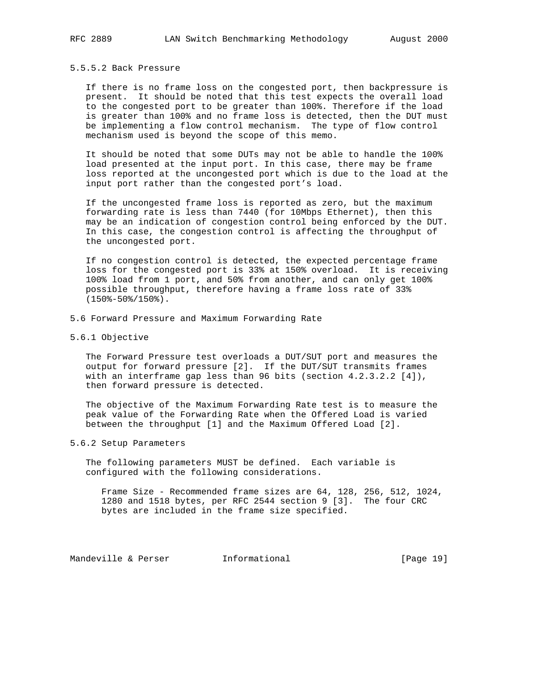## 5.5.5.2 Back Pressure

 If there is no frame loss on the congested port, then backpressure is present. It should be noted that this test expects the overall load to the congested port to be greater than 100%. Therefore if the load is greater than 100% and no frame loss is detected, then the DUT must be implementing a flow control mechanism. The type of flow control mechanism used is beyond the scope of this memo.

 It should be noted that some DUTs may not be able to handle the 100% load presented at the input port. In this case, there may be frame loss reported at the uncongested port which is due to the load at the input port rather than the congested port's load.

 If the uncongested frame loss is reported as zero, but the maximum forwarding rate is less than 7440 (for 10Mbps Ethernet), then this may be an indication of congestion control being enforced by the DUT. In this case, the congestion control is affecting the throughput of the uncongested port.

 If no congestion control is detected, the expected percentage frame loss for the congested port is 33% at 150% overload. It is receiving 100% load from 1 port, and 50% from another, and can only get 100% possible throughput, therefore having a frame loss rate of 33% (150%-50%/150%).

- 5.6 Forward Pressure and Maximum Forwarding Rate
- 5.6.1 Objective

 The Forward Pressure test overloads a DUT/SUT port and measures the output for forward pressure [2]. If the DUT/SUT transmits frames with an interframe gap less than 96 bits (section  $4.2.3.2.2$   $[4])$ , then forward pressure is detected.

 The objective of the Maximum Forwarding Rate test is to measure the peak value of the Forwarding Rate when the Offered Load is varied between the throughput [1] and the Maximum Offered Load [2].

### 5.6.2 Setup Parameters

 The following parameters MUST be defined. Each variable is configured with the following considerations.

 Frame Size - Recommended frame sizes are 64, 128, 256, 512, 1024, 1280 and 1518 bytes, per RFC 2544 section 9 [3]. The four CRC bytes are included in the frame size specified.

Mandeville & Perser **Informational** [Page 19]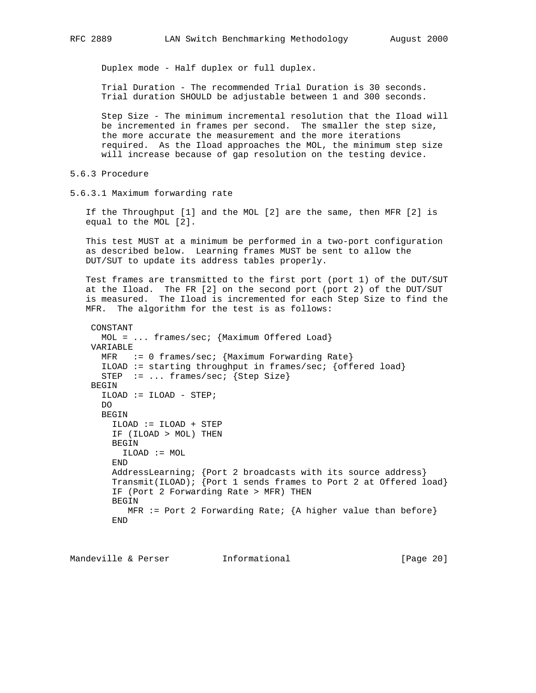Duplex mode - Half duplex or full duplex.

 Trial Duration - The recommended Trial Duration is 30 seconds. Trial duration SHOULD be adjustable between 1 and 300 seconds.

 Step Size - The minimum incremental resolution that the Iload will be incremented in frames per second. The smaller the step size, the more accurate the measurement and the more iterations required. As the Iload approaches the MOL, the minimum step size will increase because of gap resolution on the testing device.

5.6.3 Procedure

5.6.3.1 Maximum forwarding rate

 If the Throughput [1] and the MOL [2] are the same, then MFR [2] is equal to the MOL [2].

 This test MUST at a minimum be performed in a two-port configuration as described below. Learning frames MUST be sent to allow the DUT/SUT to update its address tables properly.

 Test frames are transmitted to the first port (port 1) of the DUT/SUT at the Iload. The FR [2] on the second port (port 2) of the DUT/SUT is measured. The Iload is incremented for each Step Size to find the MFR. The algorithm for the test is as follows:

```
 CONSTANT
  MOL = ... frames/sec; {Maximum Offered Load}
 VARIABLE
 MFR := 0 frames/sec; {Maximum Forwarding Rate}
  ILOAD := starting throughput in frames/sec; \{offered load\}STEP := ... frames/sec; {Step Size}
BEGIN
   ILOAD := ILOAD - STEP;
  DO
  BEGIN
     ILOAD := ILOAD + STEP
     IF (ILOAD > MOL) THEN
     BEGIN
      ILOAD := MOL
     END
     AddressLearning; {Port 2 broadcasts with its source address}
     Transmit(ILOAD); {Port 1 sends frames to Port 2 at Offered load}
     IF (Port 2 Forwarding Rate > MFR) THEN
    BEGIN
       MFR := Port 2 Forwarding Rate; \{A\ higher value than before\} END
```
Mandeville & Perser **Informational Informational** [Page 20]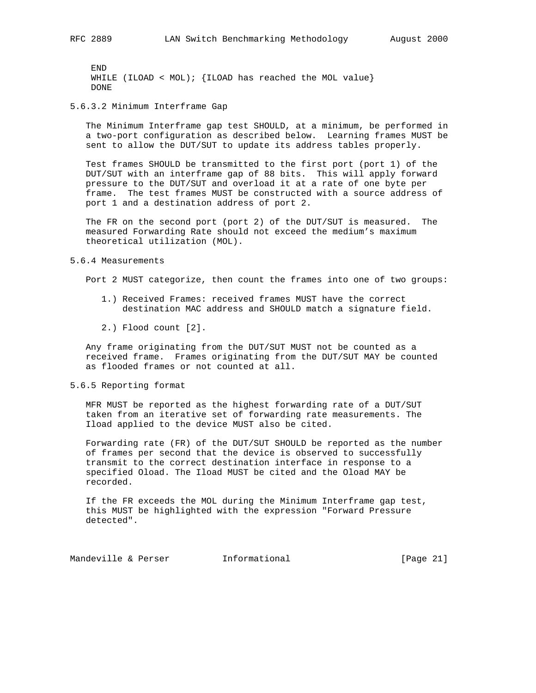END WHILE (ILOAD < MOL);  $\{$  ILOAD has reached the MOL value $\}$ DONE

5.6.3.2 Minimum Interframe Gap

 The Minimum Interframe gap test SHOULD, at a minimum, be performed in a two-port configuration as described below. Learning frames MUST be sent to allow the DUT/SUT to update its address tables properly.

 Test frames SHOULD be transmitted to the first port (port 1) of the DUT/SUT with an interframe gap of 88 bits. This will apply forward pressure to the DUT/SUT and overload it at a rate of one byte per frame. The test frames MUST be constructed with a source address of port 1 and a destination address of port 2.

 The FR on the second port (port 2) of the DUT/SUT is measured. The measured Forwarding Rate should not exceed the medium's maximum theoretical utilization (MOL).

#### 5.6.4 Measurements

Port 2 MUST categorize, then count the frames into one of two groups:

- 1.) Received Frames: received frames MUST have the correct destination MAC address and SHOULD match a signature field.
- 2.) Flood count [2].

 Any frame originating from the DUT/SUT MUST not be counted as a received frame. Frames originating from the DUT/SUT MAY be counted as flooded frames or not counted at all.

### 5.6.5 Reporting format

 MFR MUST be reported as the highest forwarding rate of a DUT/SUT taken from an iterative set of forwarding rate measurements. The Iload applied to the device MUST also be cited.

 Forwarding rate (FR) of the DUT/SUT SHOULD be reported as the number of frames per second that the device is observed to successfully transmit to the correct destination interface in response to a specified Oload. The Iload MUST be cited and the Oload MAY be recorded.

 If the FR exceeds the MOL during the Minimum Interframe gap test, this MUST be highlighted with the expression "Forward Pressure detected".

Mandeville & Perser **Informational** [Page 21]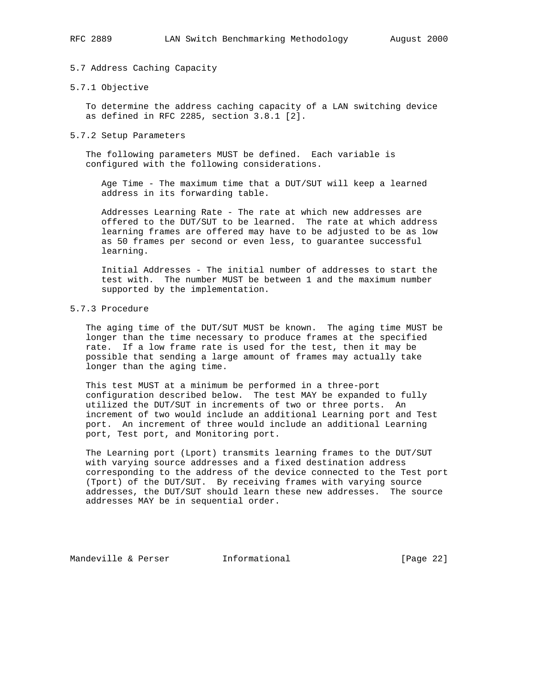## 5.7 Address Caching Capacity

### 5.7.1 Objective

 To determine the address caching capacity of a LAN switching device as defined in RFC 2285, section 3.8.1 [2].

#### 5.7.2 Setup Parameters

 The following parameters MUST be defined. Each variable is configured with the following considerations.

 Age Time - The maximum time that a DUT/SUT will keep a learned address in its forwarding table.

 Addresses Learning Rate - The rate at which new addresses are offered to the DUT/SUT to be learned. The rate at which address learning frames are offered may have to be adjusted to be as low as 50 frames per second or even less, to guarantee successful learning.

 Initial Addresses - The initial number of addresses to start the test with. The number MUST be between 1 and the maximum number supported by the implementation.

### 5.7.3 Procedure

 The aging time of the DUT/SUT MUST be known. The aging time MUST be longer than the time necessary to produce frames at the specified rate. If a low frame rate is used for the test, then it may be possible that sending a large amount of frames may actually take longer than the aging time.

 This test MUST at a minimum be performed in a three-port configuration described below. The test MAY be expanded to fully utilized the DUT/SUT in increments of two or three ports. An increment of two would include an additional Learning port and Test port. An increment of three would include an additional Learning port, Test port, and Monitoring port.

 The Learning port (Lport) transmits learning frames to the DUT/SUT with varying source addresses and a fixed destination address corresponding to the address of the device connected to the Test port (Tport) of the DUT/SUT. By receiving frames with varying source addresses, the DUT/SUT should learn these new addresses. The source addresses MAY be in sequential order.

Mandeville & Perser **Informational** [Page 22]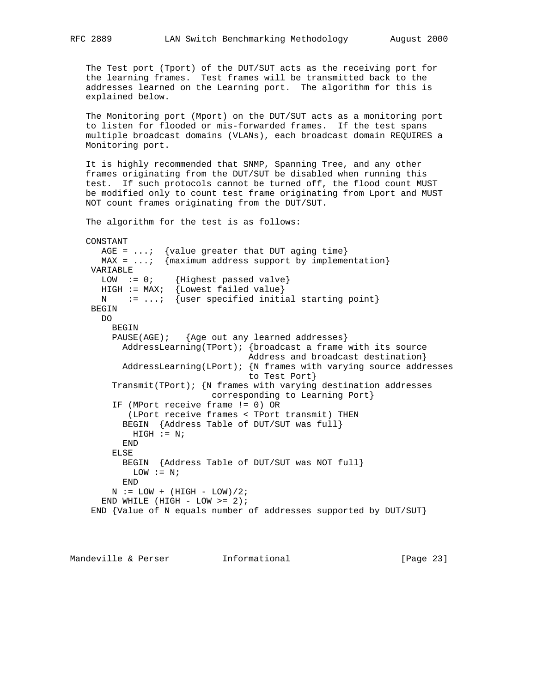The Test port (Tport) of the DUT/SUT acts as the receiving port for the learning frames. Test frames will be transmitted back to the addresses learned on the Learning port. The algorithm for this is explained below.

 The Monitoring port (Mport) on the DUT/SUT acts as a monitoring port to listen for flooded or mis-forwarded frames. If the test spans multiple broadcast domains (VLANs), each broadcast domain REQUIRES a Monitoring port.

 It is highly recommended that SNMP, Spanning Tree, and any other frames originating from the DUT/SUT be disabled when running this test. If such protocols cannot be turned off, the flood count MUST be modified only to count test frame originating from Lport and MUST NOT count frames originating from the DUT/SUT.

The algorithm for the test is as follows:

```
 CONSTANT
  AGE = \dots; {value greater that DUT aging time}
  MAX = \dots; {maximum address support by implementation}
 VARIABLE
  LOW := 0; {Highest passed valve}
  HIGH := 0, [III]NOU FAZZON \HI-1<br>HIGH := MAX; {Lowest failed value}
  N := ...; {user specified initial starting point}
  BEGIN
  D<sub>O</sub>BEGIN
     PAUSE(AGE); {Age out any learned addresses}
       AddressLearning(TPort); {broadcast a frame with its source
                                 Address and broadcast destination}
        AddressLearning(LPort); {N frames with varying source addresses
                                 to Test Port}
      Transmit(TPort); {N frames with varying destination addresses
                          corresponding to Learning Port}
      IF (MPort receive frame != 0) OR
         (LPort receive frames < TPort transmit) THEN
        BEGIN {Address Table of DUT/SUT was full}
         HIGH := N; END
      ELSE
        BEGIN {Address Table of DUT/SUT was NOT full}
        LOW := N; END
     N := LOW + (HIGH - LOW)/2;END WHILE (HIGH - LOW >= 2);
  END {Value of N equals number of addresses supported by DUT/SUT}
```
Mandeville & Perser **Informational Informational** [Page 23]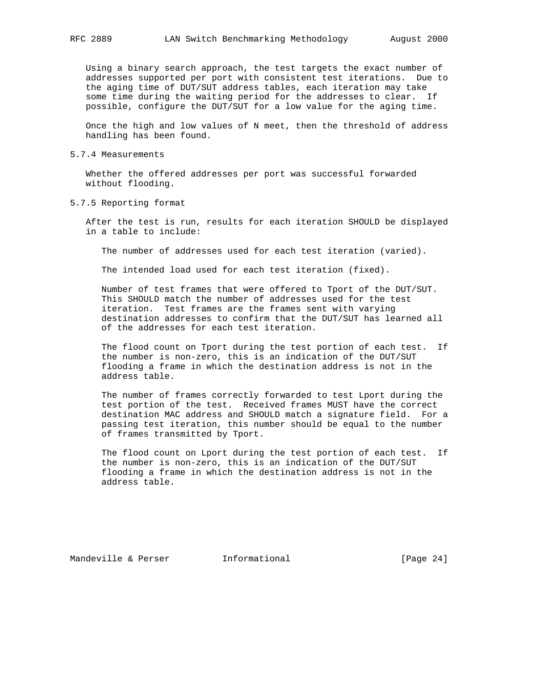Using a binary search approach, the test targets the exact number of addresses supported per port with consistent test iterations. Due to

 the aging time of DUT/SUT address tables, each iteration may take some time during the waiting period for the addresses to clear. If possible, configure the DUT/SUT for a low value for the aging time.

 Once the high and low values of N meet, then the threshold of address handling has been found.

5.7.4 Measurements

 Whether the offered addresses per port was successful forwarded without flooding.

5.7.5 Reporting format

 After the test is run, results for each iteration SHOULD be displayed in a table to include:

The number of addresses used for each test iteration (varied).

The intended load used for each test iteration (fixed).

 Number of test frames that were offered to Tport of the DUT/SUT. This SHOULD match the number of addresses used for the test iteration. Test frames are the frames sent with varying destination addresses to confirm that the DUT/SUT has learned all of the addresses for each test iteration.

 The flood count on Tport during the test portion of each test. If the number is non-zero, this is an indication of the DUT/SUT flooding a frame in which the destination address is not in the address table.

 The number of frames correctly forwarded to test Lport during the test portion of the test. Received frames MUST have the correct destination MAC address and SHOULD match a signature field. For a passing test iteration, this number should be equal to the number of frames transmitted by Tport.

 The flood count on Lport during the test portion of each test. If the number is non-zero, this is an indication of the DUT/SUT flooding a frame in which the destination address is not in the address table.

Mandeville & Perser [Page 24]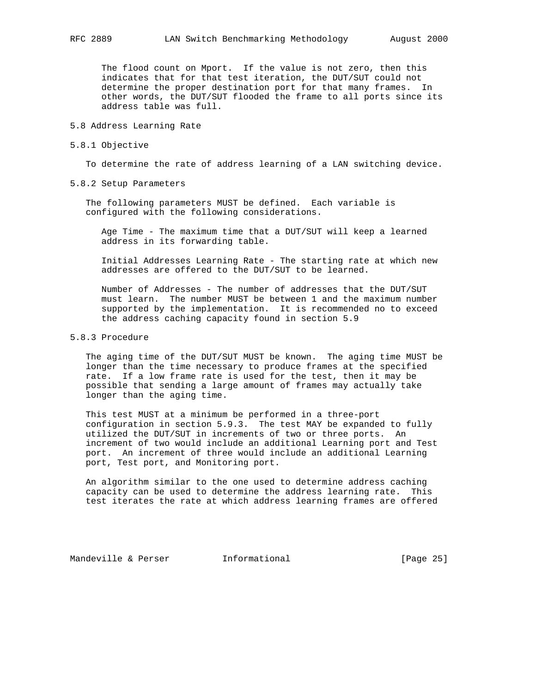The flood count on Mport. If the value is not zero, then this indicates that for that test iteration, the DUT/SUT could not determine the proper destination port for that many frames. In other words, the DUT/SUT flooded the frame to all ports since its address table was full.

### 5.8 Address Learning Rate

5.8.1 Objective

To determine the rate of address learning of a LAN switching device.

5.8.2 Setup Parameters

 The following parameters MUST be defined. Each variable is configured with the following considerations.

 Age Time - The maximum time that a DUT/SUT will keep a learned address in its forwarding table.

 Initial Addresses Learning Rate - The starting rate at which new addresses are offered to the DUT/SUT to be learned.

 Number of Addresses - The number of addresses that the DUT/SUT must learn. The number MUST be between 1 and the maximum number supported by the implementation. It is recommended no to exceed the address caching capacity found in section 5.9

# 5.8.3 Procedure

 The aging time of the DUT/SUT MUST be known. The aging time MUST be longer than the time necessary to produce frames at the specified rate. If a low frame rate is used for the test, then it may be possible that sending a large amount of frames may actually take longer than the aging time.

 This test MUST at a minimum be performed in a three-port configuration in section 5.9.3. The test MAY be expanded to fully utilized the DUT/SUT in increments of two or three ports. An increment of two would include an additional Learning port and Test port. An increment of three would include an additional Learning port, Test port, and Monitoring port.

 An algorithm similar to the one used to determine address caching capacity can be used to determine the address learning rate. This test iterates the rate at which address learning frames are offered

Mandeville & Perser **Informational** [Page 25]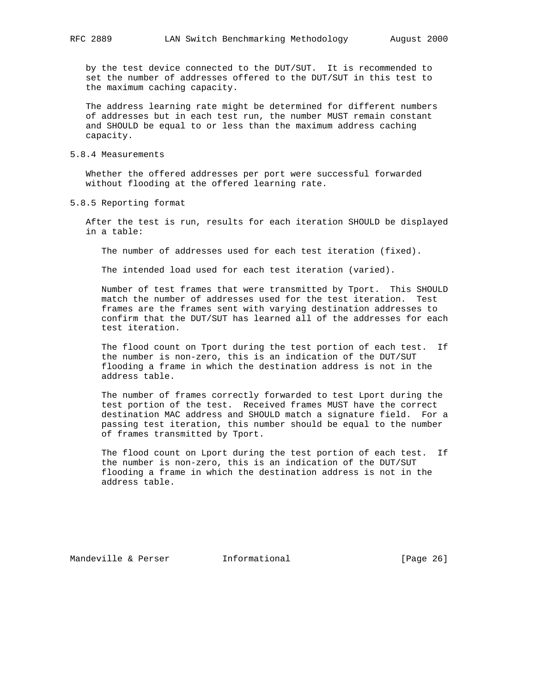by the test device connected to the DUT/SUT. It is recommended to set the number of addresses offered to the DUT/SUT in this test to the maximum caching capacity.

 The address learning rate might be determined for different numbers of addresses but in each test run, the number MUST remain constant and SHOULD be equal to or less than the maximum address caching capacity.

### 5.8.4 Measurements

 Whether the offered addresses per port were successful forwarded without flooding at the offered learning rate.

5.8.5 Reporting format

 After the test is run, results for each iteration SHOULD be displayed in a table:

The number of addresses used for each test iteration (fixed).

The intended load used for each test iteration (varied).

 Number of test frames that were transmitted by Tport. This SHOULD match the number of addresses used for the test iteration. Test frames are the frames sent with varying destination addresses to confirm that the DUT/SUT has learned all of the addresses for each test iteration.

 The flood count on Tport during the test portion of each test. If the number is non-zero, this is an indication of the DUT/SUT flooding a frame in which the destination address is not in the address table.

 The number of frames correctly forwarded to test Lport during the test portion of the test. Received frames MUST have the correct destination MAC address and SHOULD match a signature field. For a passing test iteration, this number should be equal to the number of frames transmitted by Tport.

 The flood count on Lport during the test portion of each test. If the number is non-zero, this is an indication of the DUT/SUT flooding a frame in which the destination address is not in the address table.

Mandeville & Perser **Informational** [Page 26]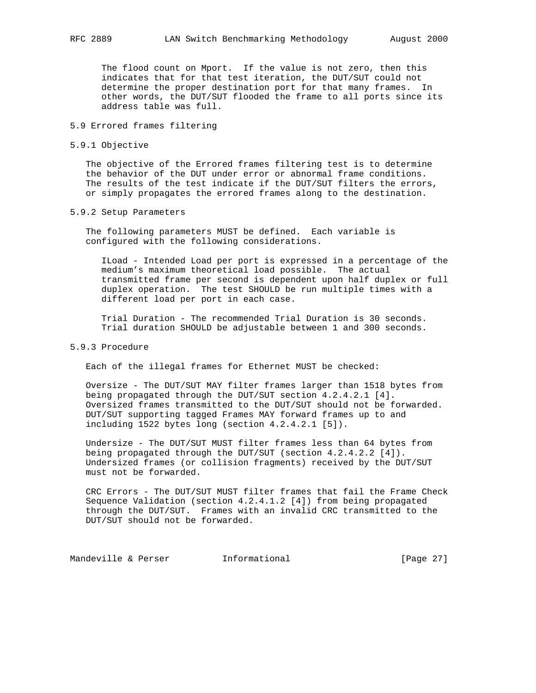The flood count on Mport. If the value is not zero, then this indicates that for that test iteration, the DUT/SUT could not determine the proper destination port for that many frames. In other words, the DUT/SUT flooded the frame to all ports since its address table was full.

### 5.9 Errored frames filtering

5.9.1 Objective

 The objective of the Errored frames filtering test is to determine the behavior of the DUT under error or abnormal frame conditions. The results of the test indicate if the DUT/SUT filters the errors, or simply propagates the errored frames along to the destination.

### 5.9.2 Setup Parameters

 The following parameters MUST be defined. Each variable is configured with the following considerations.

 ILoad - Intended Load per port is expressed in a percentage of the medium's maximum theoretical load possible. The actual transmitted frame per second is dependent upon half duplex or full duplex operation. The test SHOULD be run multiple times with a different load per port in each case.

 Trial Duration - The recommended Trial Duration is 30 seconds. Trial duration SHOULD be adjustable between 1 and 300 seconds.

### 5.9.3 Procedure

Each of the illegal frames for Ethernet MUST be checked:

 Oversize - The DUT/SUT MAY filter frames larger than 1518 bytes from being propagated through the DUT/SUT section 4.2.4.2.1 [4]. Oversized frames transmitted to the DUT/SUT should not be forwarded. DUT/SUT supporting tagged Frames MAY forward frames up to and including 1522 bytes long (section 4.2.4.2.1 [5]).

 Undersize - The DUT/SUT MUST filter frames less than 64 bytes from being propagated through the DUT/SUT (section 4.2.4.2.2 [4]). Undersized frames (or collision fragments) received by the DUT/SUT must not be forwarded.

 CRC Errors - The DUT/SUT MUST filter frames that fail the Frame Check Sequence Validation (section 4.2.4.1.2 [4]) from being propagated through the DUT/SUT. Frames with an invalid CRC transmitted to the DUT/SUT should not be forwarded.

Mandeville & Perser [Page 27]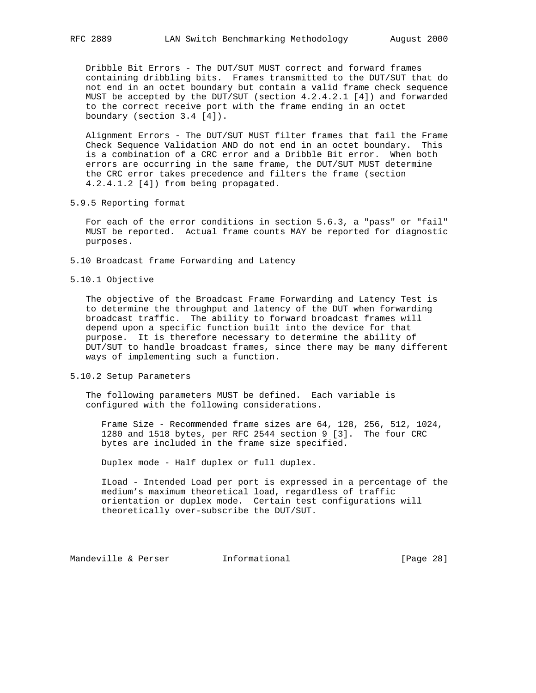Dribble Bit Errors - The DUT/SUT MUST correct and forward frames containing dribbling bits. Frames transmitted to the DUT/SUT that do not end in an octet boundary but contain a valid frame check sequence MUST be accepted by the DUT/SUT (section 4.2.4.2.1 [4]) and forwarded to the correct receive port with the frame ending in an octet boundary (section 3.4 [4]).

 Alignment Errors - The DUT/SUT MUST filter frames that fail the Frame Check Sequence Validation AND do not end in an octet boundary. This is a combination of a CRC error and a Dribble Bit error. When both errors are occurring in the same frame, the DUT/SUT MUST determine the CRC error takes precedence and filters the frame (section 4.2.4.1.2 [4]) from being propagated.

5.9.5 Reporting format

 For each of the error conditions in section 5.6.3, a "pass" or "fail" MUST be reported. Actual frame counts MAY be reported for diagnostic purposes.

- 5.10 Broadcast frame Forwarding and Latency
- 5.10.1 Objective

 The objective of the Broadcast Frame Forwarding and Latency Test is to determine the throughput and latency of the DUT when forwarding broadcast traffic. The ability to forward broadcast frames will depend upon a specific function built into the device for that purpose. It is therefore necessary to determine the ability of DUT/SUT to handle broadcast frames, since there may be many different ways of implementing such a function.

5.10.2 Setup Parameters

 The following parameters MUST be defined. Each variable is configured with the following considerations.

 Frame Size - Recommended frame sizes are 64, 128, 256, 512, 1024, 1280 and 1518 bytes, per RFC 2544 section 9 [3]. The four CRC bytes are included in the frame size specified.

Duplex mode - Half duplex or full duplex.

 ILoad - Intended Load per port is expressed in a percentage of the medium's maximum theoretical load, regardless of traffic orientation or duplex mode. Certain test configurations will theoretically over-subscribe the DUT/SUT.

Mandeville & Perser [Informational [Page 28]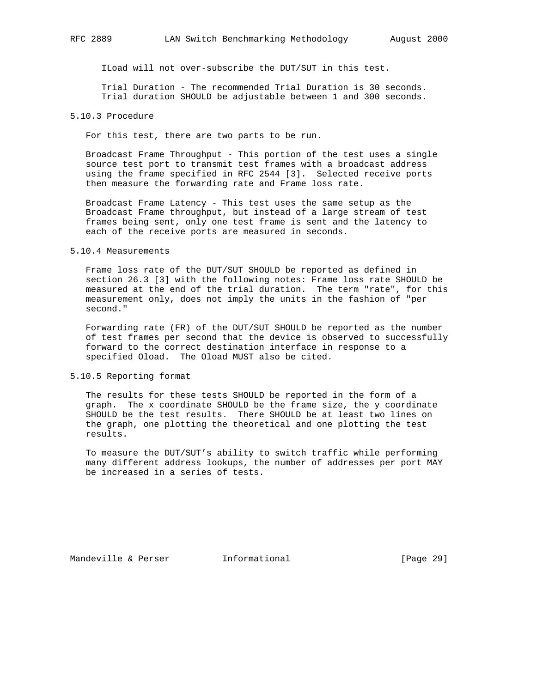ILoad will not over-subscribe the DUT/SUT in this test.

 Trial Duration - The recommended Trial Duration is 30 seconds. Trial duration SHOULD be adjustable between 1 and 300 seconds.

# 5.10.3 Procedure

For this test, there are two parts to be run.

 Broadcast Frame Throughput - This portion of the test uses a single source test port to transmit test frames with a broadcast address using the frame specified in RFC 2544 [3]. Selected receive ports then measure the forwarding rate and Frame loss rate.

 Broadcast Frame Latency - This test uses the same setup as the Broadcast Frame throughput, but instead of a large stream of test frames being sent, only one test frame is sent and the latency to each of the receive ports are measured in seconds.

5.10.4 Measurements

 Frame loss rate of the DUT/SUT SHOULD be reported as defined in section 26.3 [3] with the following notes: Frame loss rate SHOULD be measured at the end of the trial duration. The term "rate", for this measurement only, does not imply the units in the fashion of "per second."

 Forwarding rate (FR) of the DUT/SUT SHOULD be reported as the number of test frames per second that the device is observed to successfully forward to the correct destination interface in response to a specified Oload. The Oload MUST also be cited.

5.10.5 Reporting format

 The results for these tests SHOULD be reported in the form of a graph. The x coordinate SHOULD be the frame size, the y coordinate SHOULD be the test results. There SHOULD be at least two lines on the graph, one plotting the theoretical and one plotting the test results.

 To measure the DUT/SUT's ability to switch traffic while performing many different address lookups, the number of addresses per port MAY be increased in a series of tests.

Mandeville & Perser **Informational** [Page 29]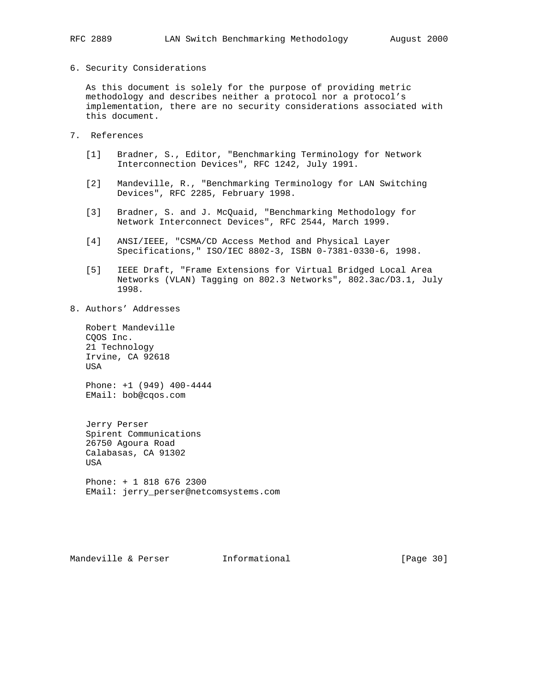#### 6. Security Considerations

 As this document is solely for the purpose of providing metric methodology and describes neither a protocol nor a protocol's implementation, there are no security considerations associated with this document.

- 7. References
	- [1] Bradner, S., Editor, "Benchmarking Terminology for Network Interconnection Devices", RFC 1242, July 1991.
	- [2] Mandeville, R., "Benchmarking Terminology for LAN Switching Devices", RFC 2285, February 1998.
	- [3] Bradner, S. and J. McQuaid, "Benchmarking Methodology for Network Interconnect Devices", RFC 2544, March 1999.
	- [4] ANSI/IEEE, "CSMA/CD Access Method and Physical Layer Specifications," ISO/IEC 8802-3, ISBN 0-7381-0330-6, 1998.
	- [5] IEEE Draft, "Frame Extensions for Virtual Bridged Local Area Networks (VLAN) Tagging on 802.3 Networks", 802.3ac/D3.1, July 1998.
- 8. Authors' Addresses

 Robert Mandeville CQOS Inc. 21 Technology Irvine, CA 92618 USA

 Phone: +1 (949) 400-4444 EMail: bob@cqos.com

 Jerry Perser Spirent Communications 26750 Agoura Road Calabasas, CA 91302 USA Phone: + 1 818 676 2300 EMail: jerry\_perser@netcomsystems.com

Mandeville & Perser **Informational** [Page 30]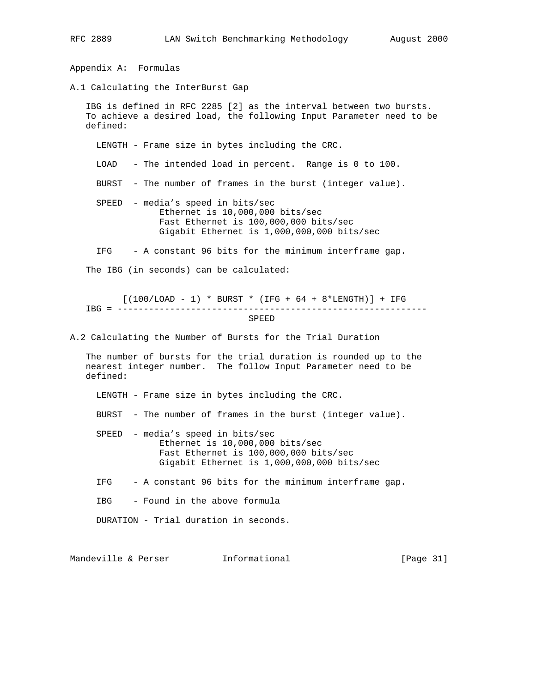Appendix A: Formulas A.1 Calculating the InterBurst Gap IBG is defined in RFC 2285 [2] as the interval between two bursts. To achieve a desired load, the following Input Parameter need to be defined: LENGTH - Frame size in bytes including the CRC. LOAD - The intended load in percent. Range is 0 to 100. BURST - The number of frames in the burst (integer value). SPEED - media's speed in bits/sec Ethernet is 10,000,000 bits/sec Fast Ethernet is 100,000,000 bits/sec Gigabit Ethernet is 1,000,000,000 bits/sec IFG - A constant 96 bits for the minimum interframe gap. The IBG (in seconds) can be calculated:  $[(100/LOAD - 1) * BURST * (IFG + 64 + 8*LENGTH)] + IFG$  IBG = ----------------------------------------------------------- SPEED A.2 Calculating the Number of Bursts for the Trial Duration The number of bursts for the trial duration is rounded up to the nearest integer number. The follow Input Parameter need to be defined: LENGTH - Frame size in bytes including the CRC. BURST - The number of frames in the burst (integer value). SPEED - media's speed in bits/sec Ethernet is 10,000,000 bits/sec Fast Ethernet is 100,000,000 bits/sec Gigabit Ethernet is 1,000,000,000 bits/sec IFG - A constant 96 bits for the minimum interframe gap. IBG - Found in the above formula DURATION - Trial duration in seconds.

Mandeville & Perser **Informational** [Page 31]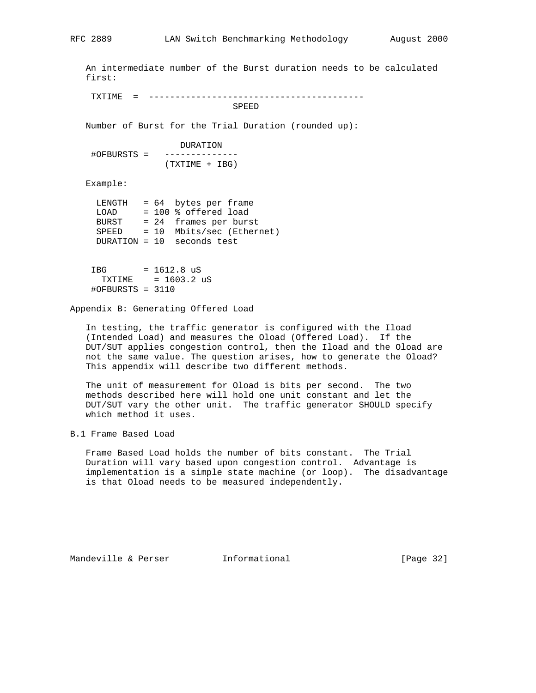An intermediate number of the Burst duration needs to be calculated first: TXTIME = ----------------------------------------- SPEED Number of Burst for the Trial Duration (rounded up): DURATION #OFBURSTS = -------------- (TXTIME + IBG) Example: LENGTH = 64 bytes per frame LOAD = 100 % offered load BURST = 24 frames per burst SPEED = 10 Mbits/sec (Ethernet) DURATION = 10 seconds test

 IBG = 1612.8 uS TXTIME = 1603.2 uS #OFBURSTS = 3110

Appendix B: Generating Offered Load

 In testing, the traffic generator is configured with the Iload (Intended Load) and measures the Oload (Offered Load). If the DUT/SUT applies congestion control, then the Iload and the Oload are not the same value. The question arises, how to generate the Oload? This appendix will describe two different methods.

 The unit of measurement for Oload is bits per second. The two methods described here will hold one unit constant and let the DUT/SUT vary the other unit. The traffic generator SHOULD specify which method it uses.

B.1 Frame Based Load

 Frame Based Load holds the number of bits constant. The Trial Duration will vary based upon congestion control. Advantage is implementation is a simple state machine (or loop). The disadvantage is that Oload needs to be measured independently.

Mandeville & Perser **Informational** [Page 32]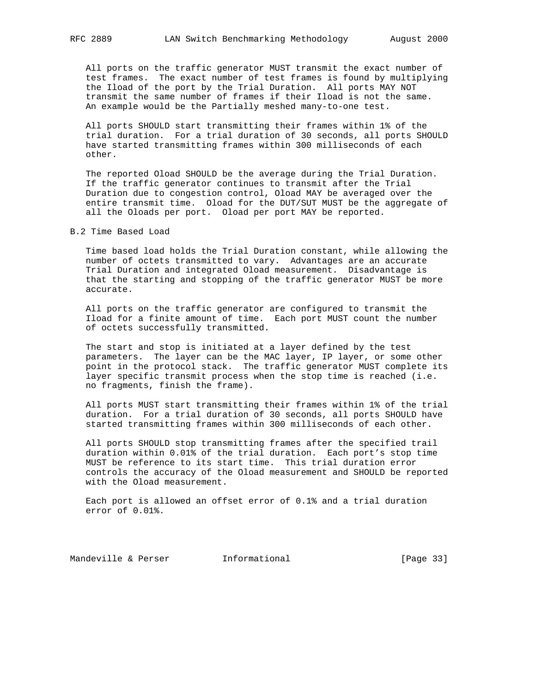All ports on the traffic generator MUST transmit the exact number of test frames. The exact number of test frames is found by multiplying the Iload of the port by the Trial Duration. All ports MAY NOT transmit the same number of frames if their Iload is not the same. An example would be the Partially meshed many-to-one test.

 All ports SHOULD start transmitting their frames within 1% of the trial duration. For a trial duration of 30 seconds, all ports SHOULD have started transmitting frames within 300 milliseconds of each other.

 The reported Oload SHOULD be the average during the Trial Duration. If the traffic generator continues to transmit after the Trial Duration due to congestion control, Oload MAY be averaged over the entire transmit time. Oload for the DUT/SUT MUST be the aggregate of all the Oloads per port. Oload per port MAY be reported.

B.2 Time Based Load

 Time based load holds the Trial Duration constant, while allowing the number of octets transmitted to vary. Advantages are an accurate Trial Duration and integrated Oload measurement. Disadvantage is that the starting and stopping of the traffic generator MUST be more accurate.

 All ports on the traffic generator are configured to transmit the Iload for a finite amount of time. Each port MUST count the number of octets successfully transmitted.

 The start and stop is initiated at a layer defined by the test parameters. The layer can be the MAC layer, IP layer, or some other point in the protocol stack. The traffic generator MUST complete its layer specific transmit process when the stop time is reached (i.e. no fragments, finish the frame).

 All ports MUST start transmitting their frames within 1% of the trial duration. For a trial duration of 30 seconds, all ports SHOULD have started transmitting frames within 300 milliseconds of each other.

 All ports SHOULD stop transmitting frames after the specified trail duration within 0.01% of the trial duration. Each port's stop time MUST be reference to its start time. This trial duration error controls the accuracy of the Oload measurement and SHOULD be reported with the Oload measurement.

 Each port is allowed an offset error of 0.1% and a trial duration error of 0.01%.

Mandeville & Perser **Informational** [Page 33]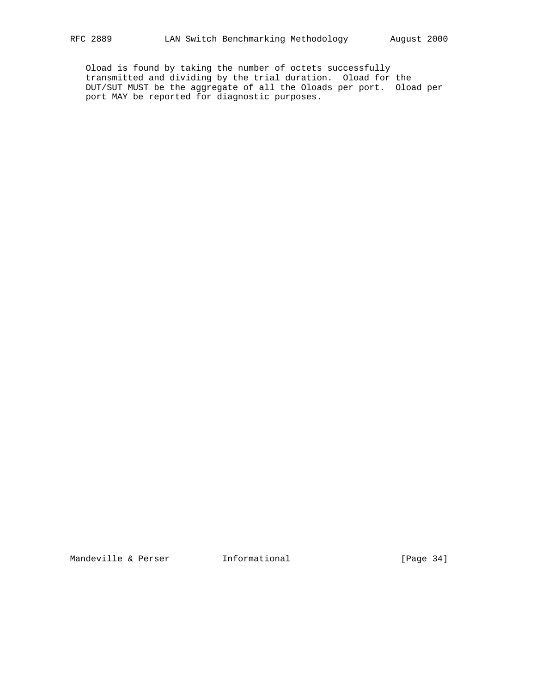Oload is found by taking the number of octets successfully transmitted and dividing by the trial duration. Oload for the DUT/SUT MUST be the aggregate of all the Oloads per port. Oload per port MAY be reported for diagnostic purposes.